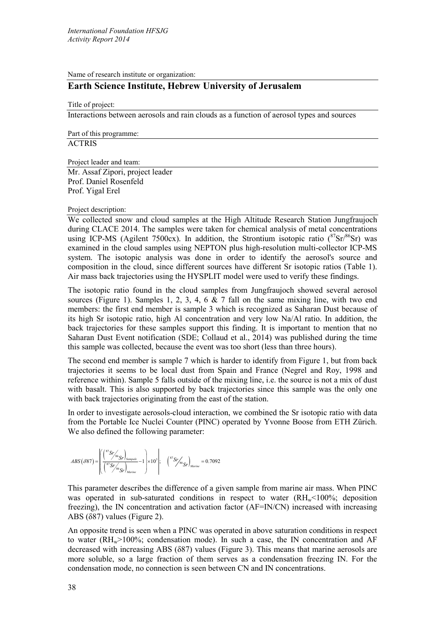Name of research institute or organization:

# **Earth Science Institute, Hebrew University of Jerusalem**

Title of project:

Interactions between aerosols and rain clouds as a function of aerosol types and sources

Part of this programme:

**ACTRIS** 

Project leader and team:

Mr. Assaf Zipori, project leader Prof. Daniel Rosenfeld Prof. Yigal Erel

## Project description:

We collected snow and cloud samples at the High Altitude Research Station Jungfraujoch during CLACE 2014. The samples were taken for chemical analysis of metal concentrations using ICP-MS (Agilent 7500cx). In addition, the Strontium isotopic ratio  $(^{87}Sr)^{86}Sr$ ) was examined in the cloud samples using NEPTON plus high-resolution multi-collector ICP-MS system. The isotopic analysis was done in order to identify the aerosol's source and composition in the cloud, since different sources have different Sr isotopic ratios [\(Table 1\)](#page-1-0). Air mass back trajectories using the HYSPLIT model were used to verify these findings.

The isotopic ratio found in the cloud samples from Jungfraujoch showed several aerosol sources [\(Figure 1\)](#page-1-1). Samples 1, 2, 3, 4, 6  $\&$  7 fall on the same mixing line, with two end members: the first end member is sample 3 which is recognized as Saharan Dust because of its high Sr isotopic ratio, high Al concentration and very low Na/Al ratio. In addition, the back trajectories for these samples support this finding. It is important to mention that no Saharan Dust Event notification (SDE; Collaud et al., 2014) was published during the time this sample was collected, because the event was too short (less than three hours).

The second end member is sample 7 which is harder to identify from Figure 1, but from back trajectories it seems to be local dust from Spain and France (Negrel and Roy, 1998 and reference within). Sample 5 falls outside of the mixing line, i.e. the source is not a mix of dust with basalt. This is also supported by back trajectories since this sample was the only one with back trajectories originating from the east of the station.

In order to investigate aerosols-cloud interaction, we combined the Sr isotopic ratio with data from the Portable Ice Nuclei Counter (PINC) operated by Yvonne Boose from ETH Zürich. We also defined the following parameter:

$$
ABS\left(\delta 87\right)=\left(\begin{aligned} \left(\frac{^{87}Sr/\text{s}\text{s}}{Sr}\right)_{\text{Sample}}\\ \left(\frac{^{87}Sr/\text{s}\text{s}}{Sr}\right)_{\text{Marine}} \end{aligned}\right)=1\right)\times10^{3}\left|\text{;}\quad\left(\frac{^{87}Sr/\text{s}\text{s}}{Sr}\right)_{\text{Marine}}=0.7092\right|
$$

This parameter describes the difference of a given sample from marine air mass. When PINC was operated in sub-saturated conditions in respect to water  $(RH_w < 100\%;$  deposition freezing), the IN concentration and activation factor (AF=IN/CN) increased with increasing ABS  $(887)$  values ([Figure 2\)](#page-1-2).

An opposite trend is seen when a PINC was operated in above saturation conditions in respect to water ( $RH_w$ >100%; condensation mode). In such a case, the IN concentration and AF decreased with increasing ABS (δ87) values ([Figure 3\)](#page-1-3). This means that marine aerosols are more soluble, so a large fraction of them serves as a condensation freezing IN. For the condensation mode, no connection is seen between CN and IN concentrations.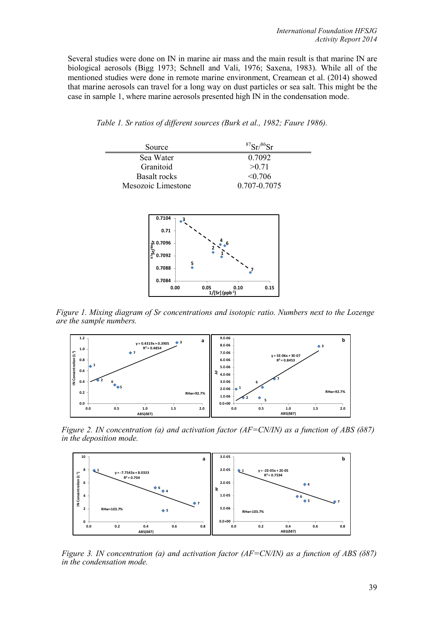Several studies were done on IN in marine air mass and the main result is that marine IN are biological aerosols (Bigg 1973; Schnell and Vali, 1976; Saxena, 1983). While all of the mentioned studies were done in remote marine environment, Creamean et al. (2014) showed that marine aerosols can travel for a long way on dust particles or sea salt. This might be the case in sample 1, where marine aerosols presented high IN in the condensation mode.

<span id="page-1-0"></span>

| 0.7092       |
|--------------|
| >0.71        |
| $\leq 0.706$ |
| 0.707-0.7075 |
|              |



<span id="page-1-1"></span>*Figure 1. Mixing diagram of Sr concentrations and isotopic ratio. Numbers next to the Lozenge are the sample numbers.*



<span id="page-1-2"></span>in the deposition mode. *Figure 2. IN concentration (a) and activation factor (AF=CN/IN) as a function of ABS (δ87)* 



<span id="page-1-3"></span> *Figure 3. IN concentration (a) and activation factor (AF=CN/IN) as a function of ABS (δ87) in the condensation mode.*